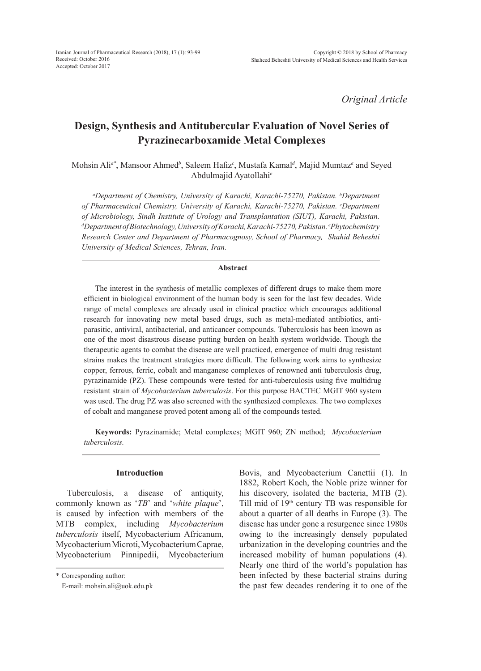*Original Article*

# **Design, Synthesis and Antitubercular Evaluation of Novel Series of Pyrazinecarboxamide Metal Complexes**

Mohsin Ali*a\**, Mansoor Ahmed*<sup>b</sup>* , Saleem Hafiz*<sup>c</sup>* , Mustafa Kamal*<sup>d</sup>* , Majid Mumtaz*<sup>a</sup>* and Seyed Abdulmajid Ayatollahi*<sup>e</sup>*

<sup>a</sup>Department of Chemistry, University of Karachi, Karachi-75270, Pakistan. <sup>b</sup>Department of Pharmaceutical Chemistry, University of Karachi, Karachi-75270, Pakistan. <sup>c</sup>Department *of Microbiology, Sindh Institute of Urology and Transplantation (SIUT), Karachi, Pakistan. d Department of Biotechnology, University of Karachi, Karachi-75270, Pakistan. e Phytochemistry Research Center and Department of Pharmacognosy, School of Pharmacy, Shahid Beheshti University of Medical Sciences, Tehran, Iran.*

#### **Abstract**

The interest in the synthesis of metallic complexes of different drugs to make them more efficient in biological environment of the human body is seen for the last few decades. Wide range of metal complexes are already used in clinical practice which encourages additional research for innovating new metal based drugs, such as metal-mediated antibiotics, antiparasitic, antiviral, antibacterial, and anticancer compounds. Tuberculosis has been known as one of the most disastrous disease putting burden on health system worldwide. Though the therapeutic agents to combat the disease are well practiced, emergence of multi drug resistant strains makes the treatment strategies more difficult. The following work aims to synthesize copper, ferrous, ferric, cobalt and manganese complexes of renowned anti tuberculosis drug, pyrazinamide (PZ). These compounds were tested for anti-tuberculosis using five multidrug resistant strain of *Mycobacterium tuberculosis*. For this purpose BACTEC MGIT 960 system was used. The drug PZ was also screened with the synthesized complexes. The two complexes of cobalt and manganese proved potent among all of the compounds tested.

**Keywords:** Pyrazinamide; Metal complexes; MGIT 960; ZN method; *Mycobacterium tuberculosis.* 

## **Introduction**

Tuberculosis, a disease of antiquity, commonly known as '*TB*' and '*white plaque*', is caused by infection with members of the MTB complex, including *Mycobacterium tuberculosis* itself, Mycobacterium Africanum, Mycobacterium Microti, Mycobacterium Caprae, Mycobacterium Pinnipedii, Mycobacterium Bovis, and Mycobacterium Canettii (1). In 1882, Robert Koch, the Noble prize winner for his discovery, isolated the bacteria, MTB (2). Till mid of 19th century TB was responsible for about a quarter of all deaths in Europe (3). The disease has under gone a resurgence since 1980s owing to the increasingly densely populated urbanization in the developing countries and the increased mobility of human populations (4). Nearly one third of the world's population has been infected by these bacterial strains during the past few decades rendering it to one of the

<sup>\*</sup> Corresponding author:

E-mail: mohsin.ali@uok.edu.pk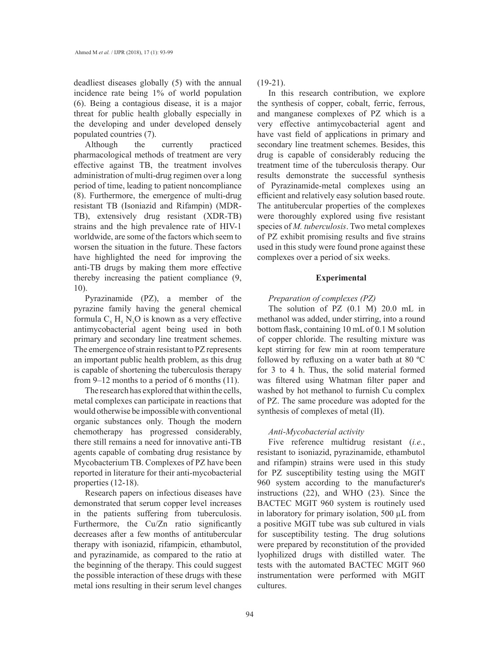deadliest diseases globally (5) with the annual incidence rate being 1% of world population (6). Being a contagious disease, it is a major threat for public health globally especially in the developing and under developed densely populated countries (7).

Although the currently practiced pharmacological methods of treatment are very effective against TB, the treatment involves administration of multi-drug regimen over a long period of time, leading to patient noncompliance (8). Furthermore, the emergence of multi-drug resistant TB (Isoniazid and Rifampin) (MDR-TB), extensively drug resistant (XDR-TB) strains and the high prevalence rate of HIV-1 worldwide, are some of the factors which seem to worsen the situation in the future. These factors have highlighted the need for improving the anti-TB drugs by making them more effective thereby increasing the patient compliance (9, 10).

Pyrazinamide (PZ), a member of the pyrazine family having the general chemical formula  $C_5 H_5 N_3 O$  is known as a very effective antimycobacterial agent being used in both primary and secondary line treatment schemes. The emergence of strain resistant to PZ represents an important public health problem, as this drug is capable of shortening the tuberculosis therapy from 9–12 months to a period of 6 months (11).

The research has explored that within the cells, metal complexes can participate in reactions that would otherwise be impossible with conventional organic substances only. Though the modern chemotherapy has progressed considerably, there still remains a need for innovative anti-TB agents capable of combating drug resistance by Mycobacterium TB. Complexes of PZ have been reported in literature for their anti-mycobacterial properties (12-18).

Research papers on infectious diseases have demonstrated that serum copper level increases in the patients suffering from tuberculosis. Furthermore, the Cu/Zn ratio significantly decreases after a few months of antitubercular therapy with isoniazid, rifampicin, ethambutol, and pyrazinamide, as compared to the ratio at the beginning of the therapy. This could suggest the possible interaction of these drugs with these metal ions resulting in their serum level changes

 $(19-21)$ .

In this research contribution, we explore the synthesis of copper, cobalt, ferric, ferrous, and manganese complexes of PZ which is a very effective antimycobacterial agent and have vast field of applications in primary and secondary line treatment schemes. Besides, this drug is capable of considerably reducing the treatment time of the tuberculosis therapy. Our results demonstrate the successful synthesis of Pyrazinamide-metal complexes using an efficient and relatively easy solution based route. The antitubercular properties of the complexes were thoroughly explored using five resistant species of *M. tuberculosis*. Two metal complexes of PZ exhibit promising results and five strains used in this study were found prone against these complexes over a period of six weeks.

## **Experimental**

### *Preparation of complexes (PZ)*

The solution of PZ (0.1 M) 20.0 mL in methanol was added, under stirring, into a round bottom flask, containing 10 mL of 0.1 M solution of copper chloride. The resulting mixture was kept stirring for few min at room temperature followed by refluxing on a water bath at 80 ºC for 3 to 4 h. Thus, the solid material formed was filtered using Whatman filter paper and washed by hot methanol to furnish Cu complex of PZ. The same procedure was adopted for the synthesis of complexes of metal (II).

## *Anti-Mycobacterial activity*

Five reference multidrug resistant (*i.e.*, resistant to isoniazid, pyrazinamide, ethambutol and rifampin) strains were used in this study for PZ susceptibility testing using the MGIT 960 system according to the manufacturer's instructions (22), and WHO (23). Since the BACTEC MGIT 960 system is routinely used in laboratory for primary isolation, 500 µL from a positive MGIT tube was sub cultured in vials for susceptibility testing. The drug solutions were prepared by reconstitution of the provided lyophilized drugs with distilled water. The tests with the automated BACTEC MGIT 960 instrumentation were performed with MGIT cultures.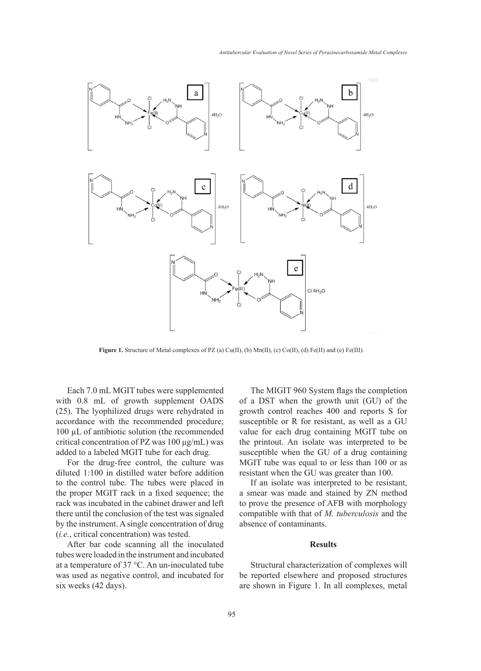

Figure 1. Structure of Metal complexes of PZ (a) Cu(II), (b) Mn(II), (c) Co(II), (d) Fe(II) and (e) Fe(III).

Each 7.0 mL MGIT tubes were supplemented with 0.8 mL of growth supplement OADS (25). The lyophilized drugs were rehydrated in accordance with the recommended procedure; susceptible or R for resistant, as w 100 µL of antibiotic solution (the recommended value for each drug containing MO critical concentration of PZ was  $100 \mu\text{g/mL}$ ) was the printout. An isolate was inter added to a labeled MGIT tube for each drug.

diluted 1:100 in distilled water before addition resistant when the GU was greater the to the control tube. The tubes were placed in If an isolate was interpreted to the proper MGIT rack in a fixed sequence; the a smear was made and stained by rack was incubated in the cabinet drawer and left there until the conclusion of the test was signaled by the instrument. A single concentration of drug (*i.e.*, critical concentration) was tested.

After bar code scanning all the inoculated tubes were loaded in the instrument and incubated at a temperature of 37 °C. An un-inoculated tube was used as negative control, and incubated for six weeks (42 days).

For the drug-free control, the culture was MGIT tube was equal to or less that for the drug-free control, the culture was MGIT tube was equal to or less that The MIGIT 960 System flags the completion of a DST when the growth unit (GU) of the growth control reaches 400 and reports S for susceptible or R for resistant, as well as a GU value for each drug containing MGIT tube on the printout. An isolate was interpreted to be susceptible when the GU of a drug containing MGIT tube was equal to or less than 100 or as resistant when the GU was greater than 100.

> If an isolate was interpreted to be resistant, a smear was made and stained by ZN method to prove the presence of AFB with morphology compatible with that of *M. tuberculosis* and the absence of contaminants.

## **Results**

Structural characterization of complexes will be reported elsewhere and proposed structures are shown in Figure 1. In all complexes, metal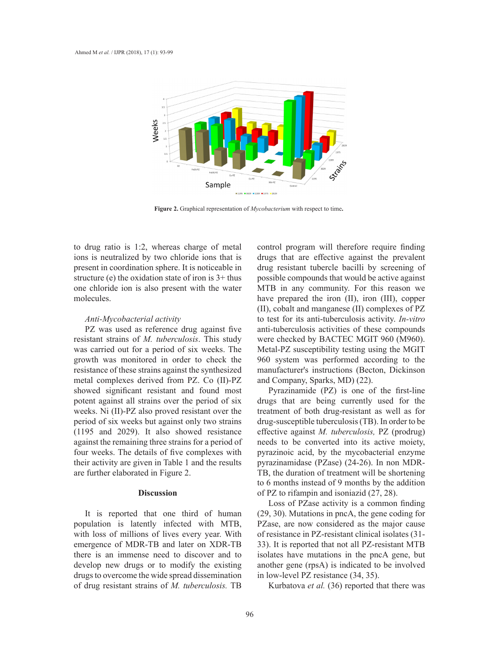

**Figure 2.** Graphical representation of *Mycobacterium* with respect to time**.**

to drug ratio is 1:2, whereas charge of metal ions is neutralized by two chloride ions that is present in coordination sphere. It is noticeable in structure (e) the oxidation state of iron is 3+ thus one chloride ion is also present with the water molecules.

## *Anti-Mycobacterial activity*

PZ was used as reference drug against five resistant strains of *M. tuberculosis*. This study was carried out for a period of six weeks. The growth was monitored in order to check the resistance of these strains against the synthesized metal complexes derived from PZ. Co (II)-PZ showed significant resistant and found most potent against all strains over the period of six weeks. Ni (II)-PZ also proved resistant over the period of six weeks but against only two strains (1195 and 2029). It also showed resistance against the remaining three strains for a period of four weeks. The details of five complexes with their activity are given in Table 1 and the results are further elaborated in Figure 2.

## **Discussion**

It is reported that one third of human population is latently infected with MTB, with loss of millions of lives every year. With emergence of MDR-TB and later on XDR-TB there is an immense need to discover and to develop new drugs or to modify the existing drugs to overcome the wide spread dissemination of drug resistant strains of *M. tuberculosis.* TB

control program will therefore require finding drugs that are effective against the prevalent drug resistant tubercle bacilli by screening of ation state of iron is  $3+$  thus possible compounds that would be active against MTB in any community. For this reason we have prepared the iron (II), iron (III), copper (II), cobalt and manganese (II) complexes of PZ to test for its anti-tuberculosis activity. *In-vitro* anti-tuberculosis activities of these compounds were checked by BACTEC MGIT 960 (M960). Metal-PZ susceptibility testing using the MGIT 960 system was performed according to the manufacturer's instructions (Becton, Dickinson and Company, Sparks, MD) (22).

Pyrazinamide (PZ) is one of the first-line drugs that are being currently used for the treatment of both drug-resistant as well as for drug-susceptible tuberculosis (TB). In order to be effective against *M. tuberculosis,* PZ (prodrug) needs to be converted into its active moiety, pyrazinoic acid, by the mycobacterial enzyme pyrazinamidase (PZase) (24-26). In non MDR-TB, the duration of treatment will be shortening to 6 months instead of 9 months by the addition of PZ to rifampin and isoniazid (27, 28).

Loss of PZase activity is a common finding (29, 30). Mutations in pncA, the gene coding for PZase, are now considered as the major cause of resistance in PZ-resistant clinical isolates (31- 33). It is reported that not all PZ-resistant MTB isolates have mutations in the pncA gene, but another gene (rpsA) is indicated to be involved in low-level PZ resistance (34, 35).

Kurbatova *et al.* (36) reported that there was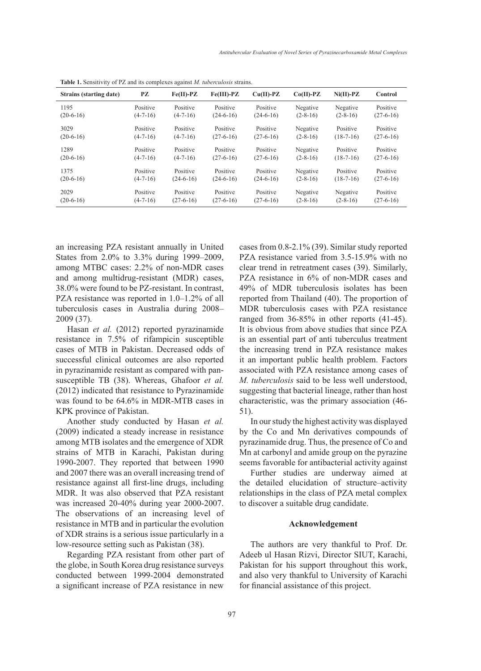| Strains (starting date) | PZ             | $Fe(II)$ -PZ | $Fe(III)$ -PZ | $Cu(II)-PZ$ | $Co(II)-PZ$ | $Ni(II)-PZ$    | Control     |
|-------------------------|----------------|--------------|---------------|-------------|-------------|----------------|-------------|
| 1195                    | Positive       | Positive     | Positive      | Positive    | Negative    | Negative       | Positive    |
| $(20-6-16)$             | $(4-7-16)$     | $(4-7-16)$   | $(24-6-16)$   | $(24-6-16)$ | $(2-8-16)$  | $(2-8-16)$     | $(27-6-16)$ |
| 3029                    | Positive       | Positive     | Positive      | Positive    | Negative    | Positive       | Positive    |
| $(20-6-16)$             | $(4-7-16)$     | $(4-7-16)$   | $(27-6-16)$   | $(27-6-16)$ | $(2-8-16)$  | $(18-7-16)$    | $(27-6-16)$ |
| 1289                    | Positive       | Positive     | Positive      | Positive    | Negative    | Positive       | Positive    |
| $(20-6-16)$             | $(4 - 7 - 16)$ | $(4-7-16)$   | $(27-6-16)$   | $(27-6-16)$ | $(2-8-16)$  | $(18-7-16)$    | $(27-6-16)$ |
| 1375                    | Positive       | Positive     | Positive      | Positive    | Negative    | Positive       | Positive    |
| $(20-6-16)$             | $(4-7-16)$     | $(24-6-16)$  | $(24-6-16)$   | $(24-6-16)$ | $(2-8-16)$  | $(18-7-16)$    | $(27-6-16)$ |
| 2029                    | Positive       | Positive     | Positive      | Positive    | Negative    | Negative       | Positive    |
| $(20-6-16)$             | $(4-7-16)$     | $(27-6-16)$  | $(27-6-16)$   | $(27-6-16)$ | $(2-8-16)$  | $(2 - 8 - 16)$ | $(27-6-16)$ |

**Table 1.** Sensitivity of PZ and its complexes against *M. tuberculosis* strains.

an increasing PZA resistant annually in United States from 2.0% to 3.3% during 1999–2009, among MTBC cases: 2.2% of non-MDR cases and among multidrug-resistant (MDR) cases, 38.0% were found to be PZ-resistant. In contrast, PZA resistance was reported in 1.0–1.2% of all tuberculosis cases in Australia during 2008– 2009 (37).

Hasan *et al.* (2012) reported pyrazinamide resistance in 7.5% of rifampicin susceptible cases of MTB in Pakistan. Decreased odds of successful clinical outcomes are also reported in pyrazinamide resistant as compared with pansusceptible TB (38). Whereas, Ghafoor *et al.* (2012) indicated that resistance to Pyrazinamide was found to be 64.6% in MDR-MTB cases in KPK province of Pakistan.

Another study conducted by Hasan *et al.* (2009) indicated a steady increase in resistance among MTB isolates and the emergence of XDR strains of MTB in Karachi, Pakistan during 1990-2007. They reported that between 1990 and 2007 there was an overall increasing trend of resistance against all first-line drugs, including MDR. It was also observed that PZA resistant was increased 20-40% during year 2000-2007. The observations of an increasing level of resistance in MTB and in particular the evolution of XDR strains is a serious issue particularly in a low-resource setting such as Pakistan (38).

Regarding PZA resistant from other part of the globe, in South Korea drug resistance surveys conducted between 1999-2004 demonstrated a significant increase of PZA resistance in new cases from 0.8-2.1% (39). Similar study reported PZA resistance varied from 3.5-15.9% with no clear trend in retreatment cases (39). Similarly, PZA resistance in 6% of non-MDR cases and 49% of MDR tuberculosis isolates has been reported from Thailand (40). The proportion of MDR tuberculosis cases with PZA resistance ranged from 36-85% in other reports (41-45). It is obvious from above studies that since PZA is an essential part of anti tuberculus treatment the increasing trend in PZA resistance makes it an important public health problem. Factors associated with PZA resistance among cases of *M. tuberculosis* said to be less well understood, suggesting that bacterial lineage, rather than host characteristic, was the primary association (46- 51).

In our study the highest activity was displayed by the Co and Mn derivatives compounds of pyrazinamide drug. Thus, the presence of Co and Mn at carbonyl and amide group on the pyrazine seems favorable for antibacterial activity against

Further studies are underway aimed at the detailed elucidation of structure–activity relationships in the class of PZA metal complex to discover a suitable drug candidate.

### **Acknowledgement**

The authors are very thankful to Prof. Dr. Adeeb ul Hasan Rizvi, Director SIUT, Karachi, Pakistan for his support throughout this work, and also very thankful to University of Karachi for financial assistance of this project.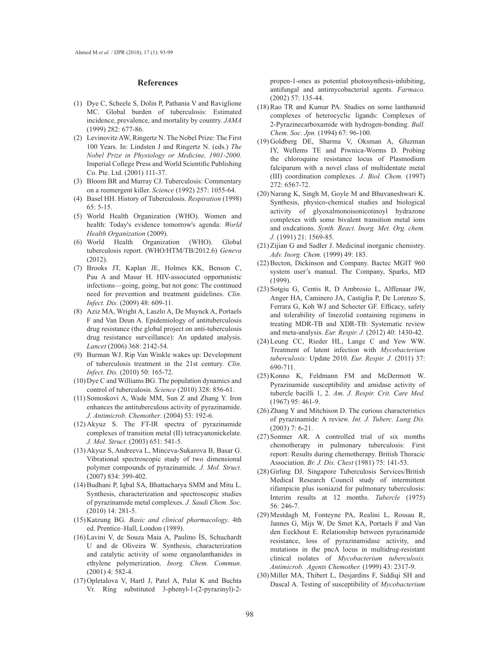#### **References**

- $(1)$  Dye C, Scheele S, Dolin P, Pathania V and Raviglione MC. Global burden of tuberculosis: Estimated incidence, prevalence, and mortality by country. *JAMA* (1999) 282: 677-86.
- (2) Levinovitz AW, Ringertz N. The Nobel Prize: The First 100 Years. In: Lindsten J and Ringertz N. (eds.) *The Nobel Prize in Physiology or Medicine, 1901-2000.*  Imperial College Press and World Scientific Publishing Co. Pte. Ltd. (2001) 111-37.
- (3) Bloom BR and Murray CJ. Tuberculosis: Commentary on a reemergent killer. *Science* (1992) 257: 1055-64.
- Basel HH. History of Tuberculosis. *Respiration* (1998) (4) 65: 5-15.
- World Health Organization (WHO). Women and (5) health: Today's evidence tomorrow's agenda: World *Health Organization* (2009).
- World Health Organization (WHO). Global (6) tuberculosis report. (WHO/HTM/TB/2012.6) *Geneva*   $(2012)$
- Brooks JT, Kaplan JE, Holmes KK, Benson C, (7) Pau A and Masur H. HIV-associated opportunistic infections—going, going, but not gone: The continued need for prevention and treatment guidelines. *Clin. Infect. Dis.* (2009) 48: 609-11.
- (8) Aziz MA, Wright A, Laszlo A, De Muynck A, Portaels F and Van Deun A. Epidemiology of antituberculosis drug resistance (the global project on anti-tuberculosis drug resistance surveillance): An updated analysis. *Lancet* (2006) 368: 2142-54.
- (9) Burman WJ. Rip Van Winkle wakes up: Development of tuberculosis treatment in the 21st century. *Clin. Infect. Dis.* (2010) 50: 165-72.
- $(10)$  Dye C and Williams BG. The population dynamics and control of tuberculosis. *Science* (2010) 328: 856-61.
- $(11)$  Somoskovi A, Wade MM, Sun Z and Zhang Y. Iron enhances the antituberculous activity of pyrazinamide. *J. Antimicrob. Chemother*. (2004) 53: 192-6.
- $(12)$  Akyuz S. The FT-IR spectra of pyrazinamide complexes of transition metal (II) tetracyanonickelate. *J. Mol. Struct.* (2003) 651: 541-5.
- (13) Akyuz S, Andreeva L, Minceva-Sukarova B, Basar G. Vibrational spectroscopic study of two dimensional polymer compounds of pyrazinamide. *J. Mol. Struct.*  (2007) 834: 399-402.
- (14) Budhani P, Iqbal SA, Bhattacharya SMM and Mitu L. Synthesis, characterization and spectroscopic studies of pyrazinamide metal complexes. *J. Saudi Chem. Soc.* (2010) 14: 281-5.
- (15) Katzung BG. Basic and clinical pharmacology. 4th ed. Prentice–Hall, London (1989).
- Lavini V, de Souza Maia A, Paulino ÍS, Schuchardt (16) U and de Oliveira W. Synthesis, characterization and catalytic activity of some organolanthanides in ethylene polymerization. *Inorg. Chem. Commun*. (2001) 4: 582-4.
- $(17)$  Opletalova V, Hartl J, Patel A, Palat K and Buchta Vr. Ring substituted 3-phenyl-1-(2-pyrazinyl)-2-

propen-1-ones as potential photosynthesis-inhibiting, antifungal and antimycobacterial agents. *Farmaco.* (2002) 57: 135-44.

- $(18)$  Rao TR and Kumar PA. Studies on some lanthanoid complexes of heterocyclic ligands: Complexes of 2-Pyrazinecarboxamide with hydrogen-bonding. *Bull. Chem. Soc. Jpn.* (1994) 67: 96-100.
- (19) Goldberg DE, Sharma V, Oksman A, Gluzman IY, Wellems TE and Piwnica-Worms D. Probing the chloroquine resistance locus of Plasmodium falciparum with a novel class of multidentate metal (III) coordination complexes. *J. Biol. Chem.* (1997) 272: 6567-72.
- $(20)$  Narang K, Singh M, Goyle M and Bhuvaneshwari K. Synthesis, physico-chemical studies and biological activity of glyoxalmonoisonicotinoyl hydrazone complexes with some bivalent transition metal ions and oxdcations. *Synth. React. Inorg. Met. Org. chem. J.* (1991) 21: 1569-85.
- $(21)$  Zijian G and Sadler J. Medicinal inorganic chemistry. *Adv. Inorg. Chem.* (1999) 49: 183.
- (22) Becton, Dickinson and Company. Bactec MGIT 960 system user's manual. The Company, Sparks, MD (1999).
- (23) Sotgiu G, Centis R, D Ambrosio L, Alffenaar JW, Anger HA, Caminero JA, Castiglia P, De Lorenzo S, Ferrara G, Koh WJ and Schecter GF. Efficacy, safety and tolerability of linezolid containing regimens in treating MDR-TB and XDR-TB: Systematic review and meta-analysis. *Eur. Respir. J.* (2012) 40: 1430-42.
- Leung CC, Rieder HL, Lange C and Yew WW. (24) Treatment of latent infection with *Mycobacterium tuberculosis:* Update 2010. *Eur. Respir. J.* (2011) 37: 690-711.
- $(25)$  Konno K, Feldmann FM and McDermott W. Pyrazinamide susceptibility and amidase activity of tubercle bacilli 1, 2. *Am. J. Respir. Crit. Care Med.* (1967) 95: 461-9.
- $(26)$  Zhang Y and Mitchison D. The curious characteristics of pyrazinamide: A review. *Int. J. Tuberc. Lung Dis.*  (2003) 7: 6-21.
- $(27)$  Somner AR. A controlled trial of six months chemotherapy in pulmonary tuberculosis: First report: Results during chemotherapy. British Thoracic Association. *Br. J. Dis. Chest* (1981) 75: 141-53.
- (28) Girling DJ. Singapore Tuberculosis Services/British Medical Research Council study of intermittent rifampicin plus isoniazid for pulmonary tuberculosis: Interim results at 12 months. *Tubercle* (1975) 56: 246-7.
- (29) Mestdagh M, Fonteyne PA, Realini L, Rossau R, Jannes G, Mijs W, De Smet KA, Portaels F and Van den Eeckhout E. Relationship between pyrazinamide resistance, loss of pyrazinamidase activity, and mutations in the pncA locus in multidrug-resistant clinical isolates of *Mycobacterium tuberculosis. Antimicrob. Agents Chemother.* (1999) 43: 2317-9.
- (30) Miller MA, Thibert L, Desjardins F, Siddiqi SH and Dascal A. Testing of susceptibility of *Mycobacterium*